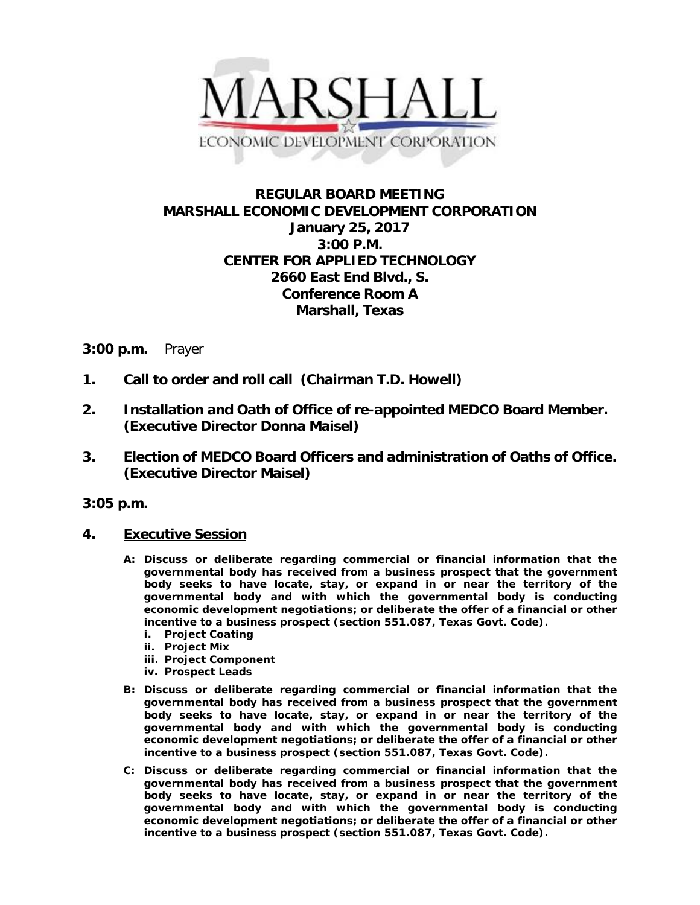

# **REGULAR BOARD MEETING MARSHALL ECONOMIC DEVELOPMENT CORPORATION January 25, 2017 3:00 P.M. CENTER FOR APPLIED TECHNOLOGY 2660 East End Blvd., S. Conference Room A Marshall, Texas**

## **3:00 p.m.** Prayer

- **1. Call to order and roll call (Chairman T.D. Howell)**
- **2. Installation and Oath of Office of re-appointed MEDCO Board Member. (Executive Director Donna Maisel)**
- **3. Election of MEDCO Board Officers and administration of Oaths of Office. (Executive Director Maisel)**

**3:05 p.m.**

- **4. Executive Session** 
	- **A: Discuss or deliberate regarding commercial or financial information that the governmental body has received from a business prospect that the government body seeks to have locate, stay, or expand in or near the territory of the governmental body and with which the governmental body is conducting economic development negotiations; or deliberate the offer of a financial or other incentive to a business prospect (section 551.087, Texas Govt. Code).**
		- **i. Project Coating**
		- **ii. Project Mix**
		- **iii. Project Component**
		- **iv. Prospect Leads**
	- **B: Discuss or deliberate regarding commercial or financial information that the governmental body has received from a business prospect that the government body seeks to have locate, stay, or expand in or near the territory of the governmental body and with which the governmental body is conducting economic development negotiations; or deliberate the offer of a financial or other incentive to a business prospect (section 551.087, Texas Govt. Code).**
	- **C: Discuss or deliberate regarding commercial or financial information that the governmental body has received from a business prospect that the government body seeks to have locate, stay, or expand in or near the territory of the governmental body and with which the governmental body is conducting economic development negotiations; or deliberate the offer of a financial or other incentive to a business prospect (section 551.087, Texas Govt. Code).**